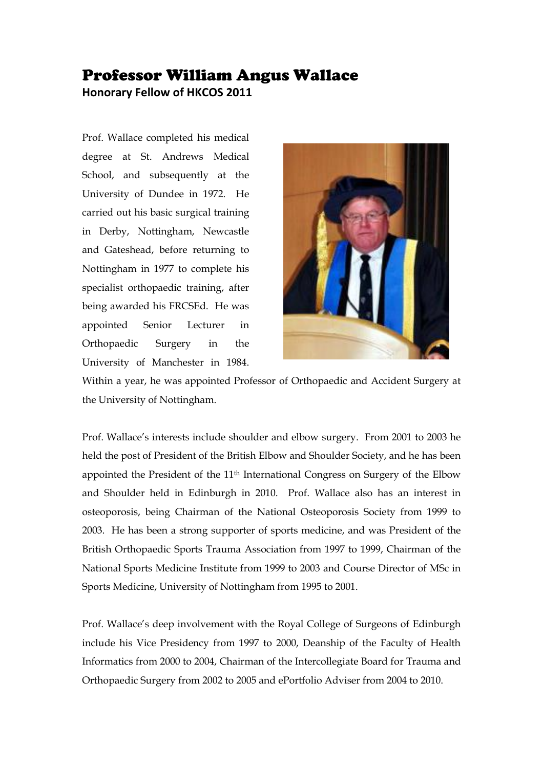## Professor William Angus Wallace

**Honorary Fellow of HKCOS 2011**

Prof. Wallace completed his medical degree at St. Andrews Medical School, and subsequently at the University of Dundee in 1972. He carried out his basic surgical training in Derby, Nottingham, Newcastle and Gateshead, before returning to Nottingham in 1977 to complete his specialist orthopaedic training, after being awarded his FRCSEd. He was appointed Senior Lecturer in Orthopaedic Surgery in the University of Manchester in 1984.



Within a year, he was appointed Professor of Orthopaedic and Accident Surgery at the University of Nottingham.

Prof. Wallace's interests include shoulder and elbow surgery. From 2001 to 2003 he held the post of President of the British Elbow and Shoulder Society, and he has been appointed the President of the 11th International Congress on Surgery of the Elbow and Shoulder held in Edinburgh in 2010. Prof. Wallace also has an interest in osteoporosis, being Chairman of the National Osteoporosis Society from 1999 to 2003. He has been a strong supporter of sports medicine, and was President of the British Orthopaedic Sports Trauma Association from 1997 to 1999, Chairman of the National Sports Medicine Institute from 1999 to 2003 and Course Director of MSc in Sports Medicine, University of Nottingham from 1995 to 2001.

Prof. Wallace's deep involvement with the Royal College of Surgeons of Edinburgh include his Vice Presidency from 1997 to 2000, Deanship of the Faculty of Health Informatics from 2000 to 2004, Chairman of the Intercollegiate Board for Trauma and Orthopaedic Surgery from 2002 to 2005 and ePortfolio Adviser from 2004 to 2010.